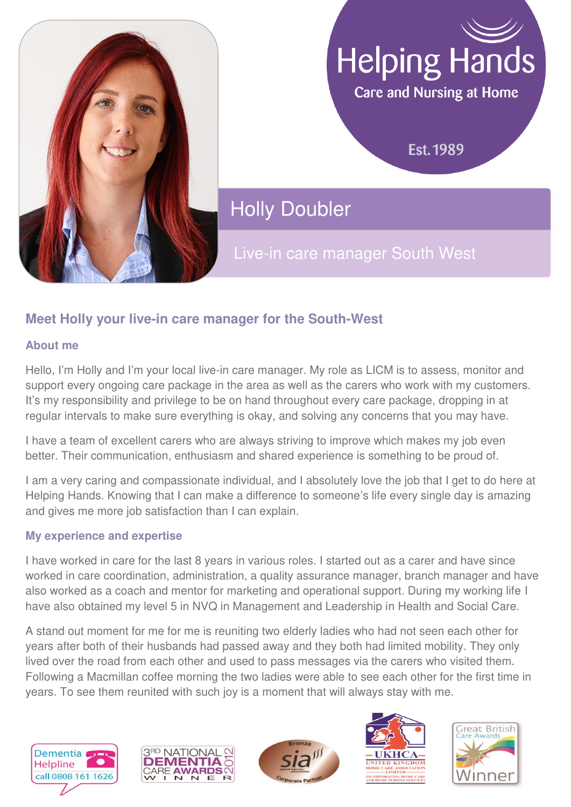

# **Helping Hands**

Care and Nursing at Home

**Est. 1989** 

**Holly Doubler** 

Live-in care manager South West

## **Meet Holly your live-in care manager for the South-West**

#### **About me**

Hello, I'm Holly and I'm your local live-in care manager. My role as LICM is to assess, monitor and support every ongoing care package in the area as well as the carers who work with my customers. It's my responsibility and privilege to be on hand throughout every care package, dropping in at regular intervals to make sure everything is okay, and solving any concerns that you may have.

I have a team of excellent carers who are always striving to improve which makes my job even better. Their communication, enthusiasm and shared experience is something to be proud of.

I am a very caring and compassionate individual, and I absolutely love the job that I get to do here at Helping Hands. Knowing that I can make a difference to someone's life every single day is amazing and gives me more job satisfaction than I can explain.

#### **My experience and expertise**

I have worked in care for the last 8 years in various roles. I started out as a carer and have since worked in care coordination, administration, a quality assurance manager, branch manager and have also worked as a coach and mentor for marketing and operational support. During my working life I have also obtained my level 5 in NVQ in Management and Leadership in Health and Social Care.

A stand out moment for me for me is reuniting two elderly ladies who had not seen each other for years after both of their husbands had passed away and they both had limited mobility. They only lived over the road from each other and used to pass messages via the carers who visited them. Following a Macmillan coffee morning the two ladies were able to see each other for the first time in years. To see them reunited with such joy is a moment that will always stay with me.